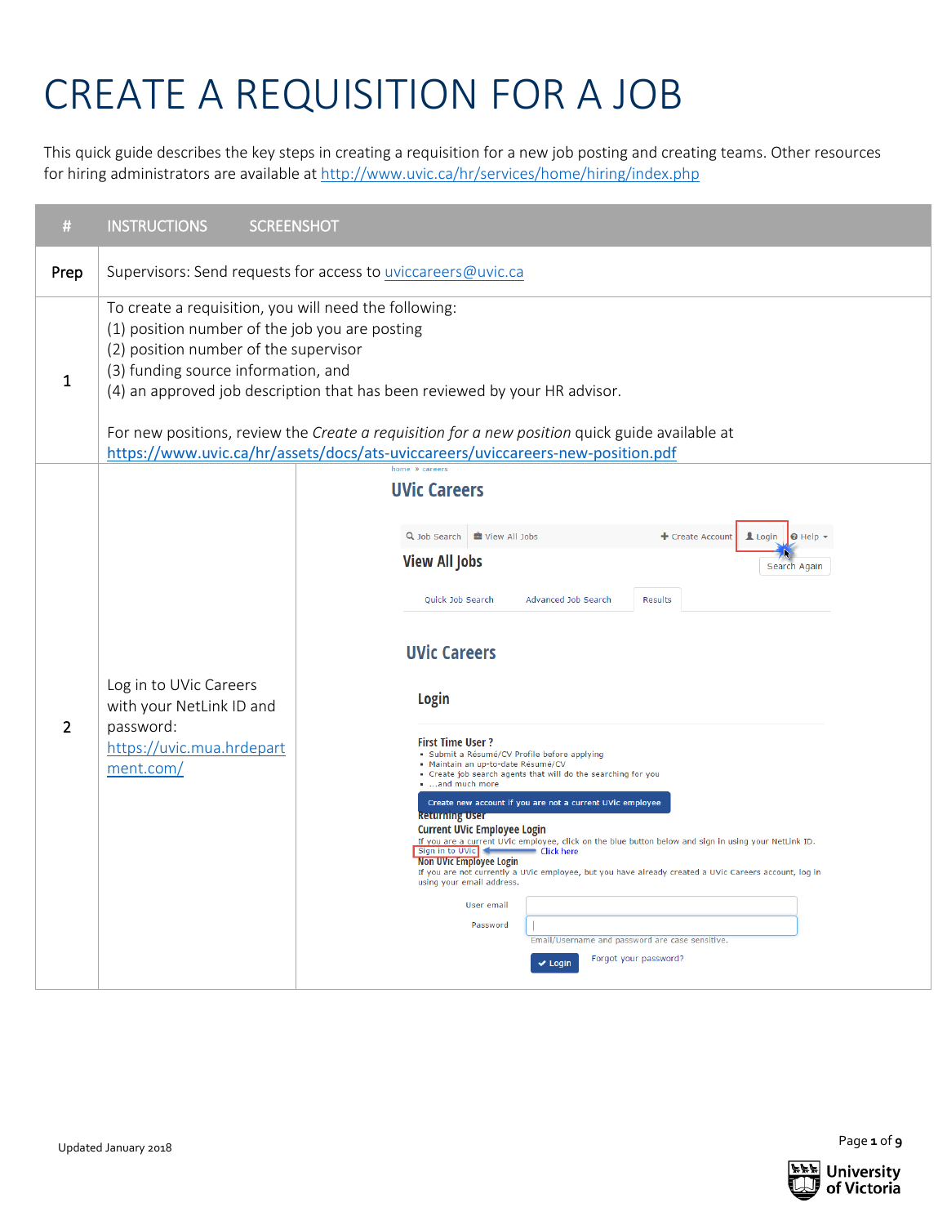# CREATE A REQUISITION FOR A JOB

This quick guide describes the key steps in creating a requisition for a new job posting and creating teams. Other resources for hiring administrators are available a[t http://www.uvic.ca/hr/services/home/hiring/index.php](http://www.uvic.ca/hr/services/home/hiring/index.php)

| #            | <b>INSTRUCTIONS</b><br><b>SCREENSHOT</b>                                                                                                                                                                                                                                                                                                                                                                                                                   |                                                                                                                                                                                                                                                                                                                                                                                                                                                                                                                                                                                                                                                                                                                                                                                                                                                                                                                                                                                                      |  |  |  |
|--------------|------------------------------------------------------------------------------------------------------------------------------------------------------------------------------------------------------------------------------------------------------------------------------------------------------------------------------------------------------------------------------------------------------------------------------------------------------------|------------------------------------------------------------------------------------------------------------------------------------------------------------------------------------------------------------------------------------------------------------------------------------------------------------------------------------------------------------------------------------------------------------------------------------------------------------------------------------------------------------------------------------------------------------------------------------------------------------------------------------------------------------------------------------------------------------------------------------------------------------------------------------------------------------------------------------------------------------------------------------------------------------------------------------------------------------------------------------------------------|--|--|--|
| Prep         |                                                                                                                                                                                                                                                                                                                                                                                                                                                            | Supervisors: Send requests for access to uviccareers@uvic.ca                                                                                                                                                                                                                                                                                                                                                                                                                                                                                                                                                                                                                                                                                                                                                                                                                                                                                                                                         |  |  |  |
| $\mathbf{1}$ | To create a requisition, you will need the following:<br>(1) position number of the job you are posting<br>(2) position number of the supervisor<br>(3) funding source information, and<br>(4) an approved job description that has been reviewed by your HR advisor.<br>For new positions, review the Create a requisition for a new position quick guide available at<br>https://www.uvic.ca/hr/assets/docs/ats-uviccareers/uviccareers-new-position.pdf |                                                                                                                                                                                                                                                                                                                                                                                                                                                                                                                                                                                                                                                                                                                                                                                                                                                                                                                                                                                                      |  |  |  |
| 2            | Log in to UVic Careers<br>with your NetLink ID and<br>password:<br>https://uvic.mua.hrdepart<br>ment.com/                                                                                                                                                                                                                                                                                                                                                  | <b>UVic Careers</b><br>Q Job Search   U View All Jobs<br>Login   0 Help +<br>+ Create Account<br><b>View All Jobs</b><br>Search Again<br>Quick Job Search<br>Advanced Job Search<br><b>Results</b><br><b>UVic Careers</b><br>Login<br><b>First Time User ?</b><br>Submit a Résumé/CV Profile before applying<br>Maintain an up-to-date Résumé/CV<br>Create job search agents that will do the searching for you<br>and much more<br>Create new account if you are not a current UVic employee<br><b>Returning User</b><br><b>Current UVic Employee Login</b><br>If you are a current UVic employee, click on the blue button below and sign in using your NetLink ID.<br>Sign in to UVic<br>Click here<br><b>Non UVIC Employee Login</b><br>If you are not currently a UVic employee, but you have already created a UVic Careers account, log in<br>using your email address.<br>User email<br>Password<br>Email/Username and password are case sensitive.<br>Forgot your password?<br>$\vee$ Login |  |  |  |

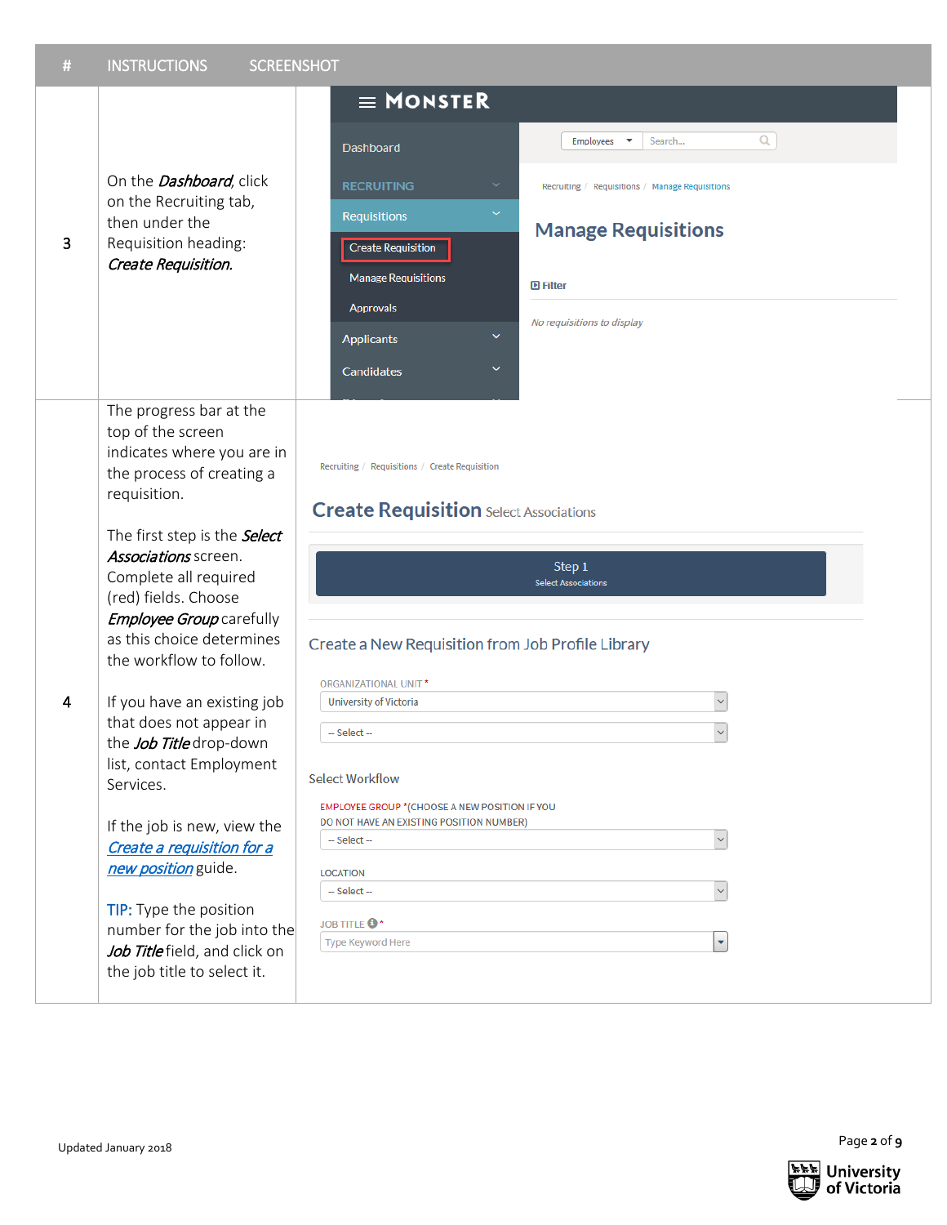| $\#$ | <b>INSTRUCTIONS</b><br><b>SCREENSHOT</b>                                                                                                                                                                                                                                                                                                                                                                                                                                                                                                                                                                                                                               |                                                                                                                                                                                                                                                                                                                                                                                                                                                                                                                                                                                             |  |
|------|------------------------------------------------------------------------------------------------------------------------------------------------------------------------------------------------------------------------------------------------------------------------------------------------------------------------------------------------------------------------------------------------------------------------------------------------------------------------------------------------------------------------------------------------------------------------------------------------------------------------------------------------------------------------|---------------------------------------------------------------------------------------------------------------------------------------------------------------------------------------------------------------------------------------------------------------------------------------------------------------------------------------------------------------------------------------------------------------------------------------------------------------------------------------------------------------------------------------------------------------------------------------------|--|
|      |                                                                                                                                                                                                                                                                                                                                                                                                                                                                                                                                                                                                                                                                        | $\equiv$ MONSTER                                                                                                                                                                                                                                                                                                                                                                                                                                                                                                                                                                            |  |
| 3    | On the <i>Dashboard</i> , click<br>on the Recruiting tab,<br>then under the<br>Requisition heading:<br>Create Requisition.                                                                                                                                                                                                                                                                                                                                                                                                                                                                                                                                             | Q<br>Search<br>Employees<br>$\overline{\phantom{a}}$<br>Dashboard<br><b>RECRUITING</b><br>v<br>Recruiting / Requisitions / Manage Requisitions<br>$\checkmark$<br>Requisitions<br><b>Manage Requisitions</b><br><b>Create Requisition</b><br><b>Manage Requisitions</b><br><b>D</b> Filter<br><b>Approvals</b><br>No requisitions to display<br>v<br><b>Applicants</b><br>$\checkmark$<br>Candidates                                                                                                                                                                                        |  |
| 4    | The progress bar at the<br>top of the screen<br>indicates where you are in<br>the process of creating a<br>requisition.<br>The first step is the <b>Select</b><br>Associations screen.<br>Complete all required<br>(red) fields. Choose<br>Employee Group carefully<br>as this choice determines<br>the workflow to follow.<br>If you have an existing job<br>that does not appear in<br>the Job Title drop-down<br>list, contact Employment<br>Services.<br>If the job is new, view the<br>Create a requisition for a<br>new position guide.<br>TIP: Type the position<br>number for the job into the<br>Job Title field, and click on<br>the job title to select it. | Recruiting / Requisitions / Create Requisition<br><b>Create Requisition</b> Select Associations<br>Step <sub>1</sub><br><b>Select Associations</b><br>Create a New Requisition from Job Profile Library<br><b>ORGANIZATIONAL UNIT*</b><br>$\backsim$<br>University of Victoria<br>$\checkmark$<br>-- Select --<br><b>Select Workflow</b><br><b>EMPLOYEE GROUP * (CHOOSE A NEW POSITION IF YOU</b><br>DO NOT HAVE AN EXISTING POSITION NUMBER)<br>$\backsim$<br>-- Select --<br><b>LOCATION</b><br>$\check{~}$<br>-- Select --<br><b>JOB TITLE <sup>8</sup>*</b><br><b>Type Keyword Here</b> |  |
|      | Updated January 2018                                                                                                                                                                                                                                                                                                                                                                                                                                                                                                                                                                                                                                                   | Page 2 of 9                                                                                                                                                                                                                                                                                                                                                                                                                                                                                                                                                                                 |  |

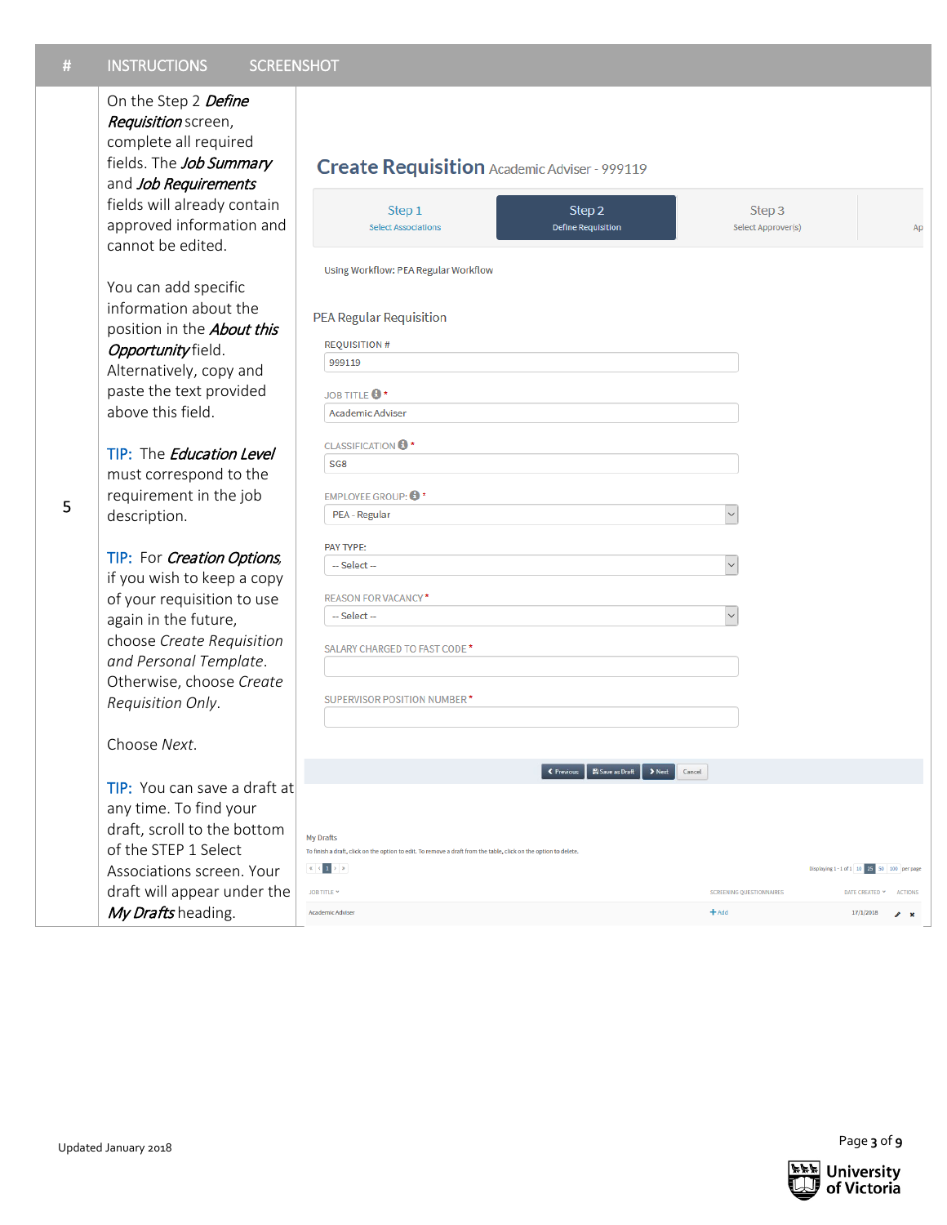## Choose *Next* .

|           | <b>INSTRUCTIONS</b><br><b>SCREENSHOT</b>                                                                                                                                                                                                                                                                                                                                                                                                                                                                                                                                                                                                                                                                                                                                                                                                                                                                                                    |                                                                                                                                                                                                                                                                                                                                                                                                                                                                                                                                                                                                                                                                                                                                                                                                                                  |                                                                                           |                                                                                                                         |
|-----------|---------------------------------------------------------------------------------------------------------------------------------------------------------------------------------------------------------------------------------------------------------------------------------------------------------------------------------------------------------------------------------------------------------------------------------------------------------------------------------------------------------------------------------------------------------------------------------------------------------------------------------------------------------------------------------------------------------------------------------------------------------------------------------------------------------------------------------------------------------------------------------------------------------------------------------------------|----------------------------------------------------------------------------------------------------------------------------------------------------------------------------------------------------------------------------------------------------------------------------------------------------------------------------------------------------------------------------------------------------------------------------------------------------------------------------------------------------------------------------------------------------------------------------------------------------------------------------------------------------------------------------------------------------------------------------------------------------------------------------------------------------------------------------------|-------------------------------------------------------------------------------------------|-------------------------------------------------------------------------------------------------------------------------|
| $\#$<br>5 | On the Step 2 Define<br>Requisition screen,<br>complete all required<br>fields. The Job Summary<br>and Job Requirements<br>fields will already contain<br>approved information and<br>cannot be edited.<br>You can add specific<br>information about the<br>position in the <b>About this</b><br>Opportunity field.<br>Alternatively, copy and<br>paste the text provided<br>above this field.<br>TIP: The Education Level<br>must correspond to the<br>requirement in the job<br>description.<br>TIP: For Creation Options,<br>if you wish to keep a copy<br>of your requisition to use<br>again in the future,<br>choose Create Requisition<br>and Personal Template.<br>Otherwise, choose Create<br>Requisition Only.<br>Choose Next.<br>TIP: You can save a draft at<br>any time. To find your<br>draft, scroll to the bottom<br>of the STEP 1 Select<br>Associations screen. Your<br>draft will appear under the<br>My Drafts heading. | Create Requisition Academic Adviser - 999119<br>Step 1<br>Step 2<br><b>Select Associations</b><br><b>Define Requisition</b><br>Using Workflow: PEA Regular Workflow<br><b>PEA Regular Requisition</b><br><b>REQUISITION#</b><br>999119<br><b>JOB TITLE +</b><br><b>Academic Adviser</b><br><b>CLASSIFICATION <sup>6</sup></b><br>SG <sub>8</sub><br><b>EMPLOYEE GROUP: 0*</b><br>PEA - Regular<br>PAY TYPE:<br>-- Select --<br><b>REASON FOR VACANCY*</b><br>-- Select --<br>SALARY CHARGED TO FAST CODE *<br>SUPERVISOR POSITION NUMBER*<br>Save as Draft<br>← Previous<br>Cancel<br><b>My Drafts</b><br>To finish a draft, click on the option to edit. To remove a draft from the table, click on the option to delete.<br>$\  \mathbf{c} \  < \  \mathbf{1} \  > \  \mathbf{y} \ $<br>JOB TITLE Y<br><b>Academic Adviser</b> | Step 3<br>Select Approver(s)<br>$\check{~}$<br><b>SCREENING QUESTIONNAIRES</b><br>$+$ Add | Ap<br>Displaying 1 - 1 of 1 10 25 50 100 per page<br>DATE CREATED Y<br><b>ACTIONS</b><br>17/1/2018<br>i<br>$\mathbf{x}$ |
|           |                                                                                                                                                                                                                                                                                                                                                                                                                                                                                                                                                                                                                                                                                                                                                                                                                                                                                                                                             |                                                                                                                                                                                                                                                                                                                                                                                                                                                                                                                                                                                                                                                                                                                                                                                                                                  |                                                                                           |                                                                                                                         |
|           |                                                                                                                                                                                                                                                                                                                                                                                                                                                                                                                                                                                                                                                                                                                                                                                                                                                                                                                                             |                                                                                                                                                                                                                                                                                                                                                                                                                                                                                                                                                                                                                                                                                                                                                                                                                                  |                                                                                           | Page 3 of 9                                                                                                             |
|           | Updated January 2018                                                                                                                                                                                                                                                                                                                                                                                                                                                                                                                                                                                                                                                                                                                                                                                                                                                                                                                        |                                                                                                                                                                                                                                                                                                                                                                                                                                                                                                                                                                                                                                                                                                                                                                                                                                  |                                                                                           |                                                                                                                         |

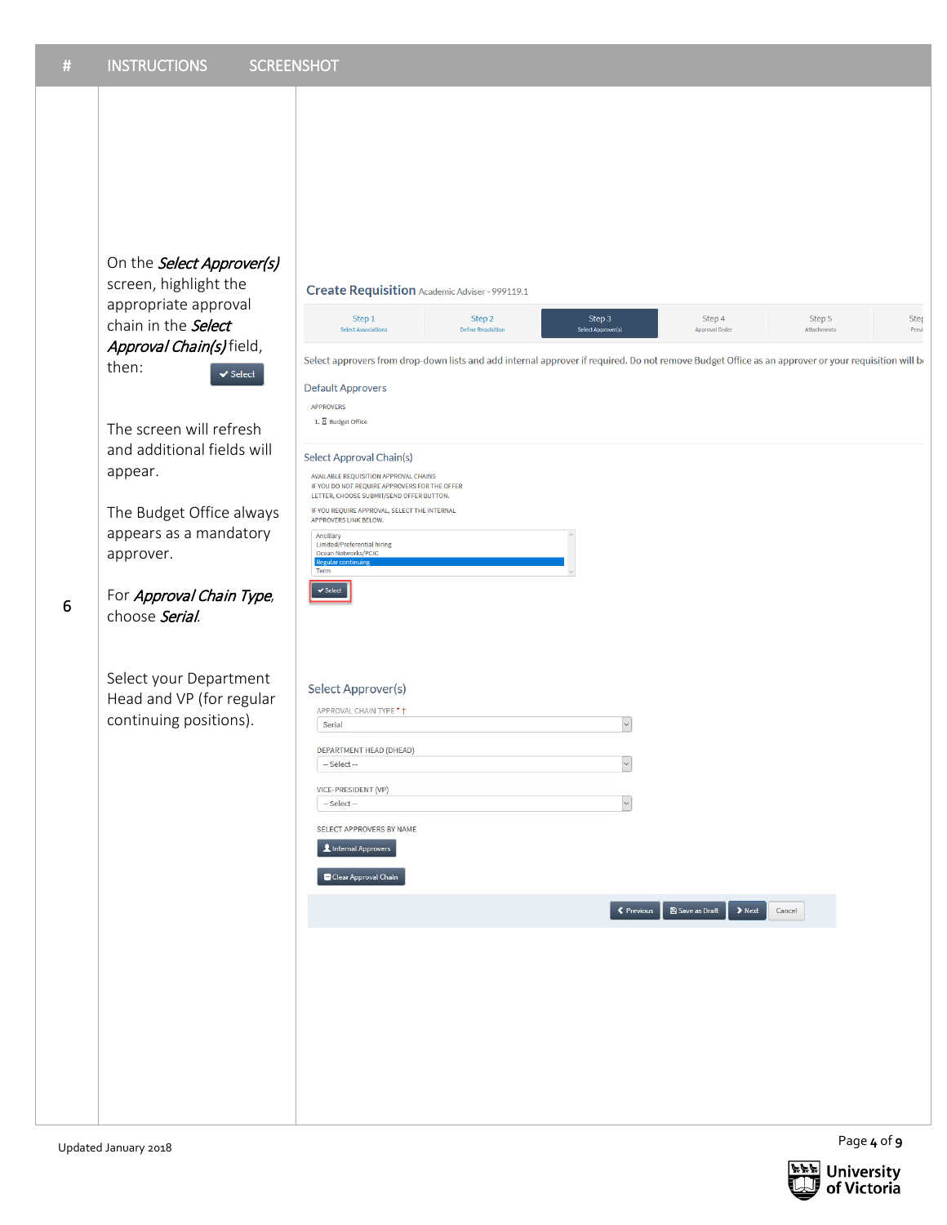On the **Select Approver(s)** screen, highlight the appropriate approval chain in the **Select** Approval Chain(s) field, then:  $\blacktriangleright$  Select

The screen will refresh and additional fields will appear.

The Budget Office always appears as a mandatory approver.

For Approval Chain Type, choose Serial.

6

Select your Department Head and VP (for regular continuing positions).

### Create Requisition Academic Adviser - 999119.1

Step  $1$ Step 2 Step 3 Step 4 Step 5 Step Define .<br>Select App Attac Previ al Order Select approvers from drop-down lists and add internal approver if required. Do not remove Budget Office as an approver or your requisition will be **Default Approvers** APPROVERS 1.  $\overline{\mathbf{X}}$  Budget Office Select Approval Chain(s) AVAILABLE REQUISITION APPROVAL CHAINS IF YOU DO NOT REQUIRE APPROVERS FOR THE OFFER<br>LETTER, CHOOSE SUBMIT/SEND OFFER BUTTON. IF YOU REQUIRE APPROVAL, SELECT THE INTERNAL<br>APPROVERS LINK BELOW. Ancillary<br>Limited/Preferential hiring Regula  $\blacktriangleright$  Select Select Approver(s) APPROVAL CHAIN TYPE \* +  $\overline{\mathcal{S}}$ Serial DEPARTMENT HEAD (DHEAD)  $\overline{\mathcal{S}}$ - Select --VICE-PRESIDENT (VP)  $\overline{\mathcal{S}}$  $\sim$  Select $\sim$ SELECT APPROVERS BY NAME Linternal Approvers Clear Approval Chain SPrevious BSave as Draft > Next Cancel

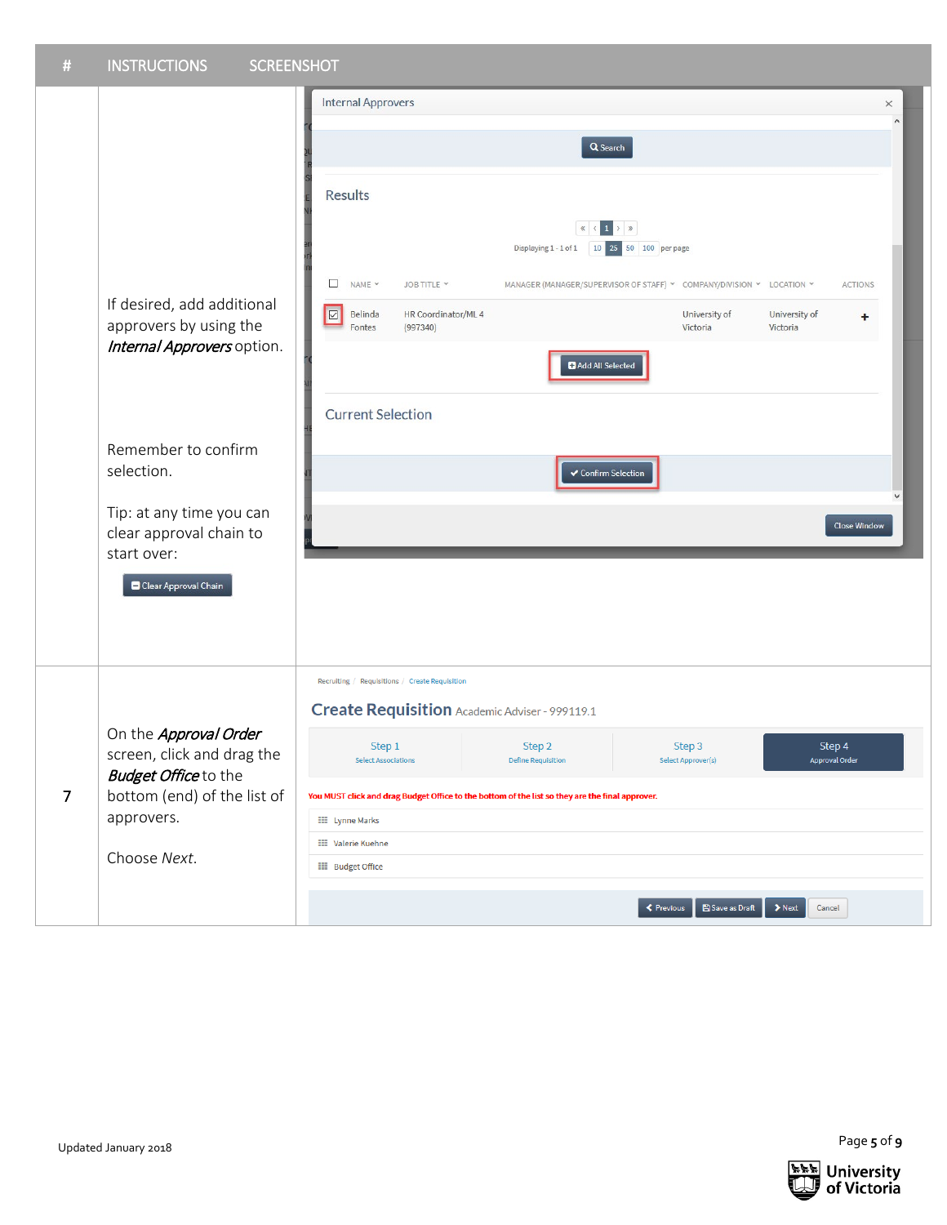| $\#$ | <b>INSTRUCTIONS</b><br><b>SCREENSHOT</b>                       |                                                                                                                                                                                                                                                                                                                                                                                                                                                                                                                                                         |               |
|------|----------------------------------------------------------------|---------------------------------------------------------------------------------------------------------------------------------------------------------------------------------------------------------------------------------------------------------------------------------------------------------------------------------------------------------------------------------------------------------------------------------------------------------------------------------------------------------------------------------------------------------|---------------|
|      |                                                                | <b>Internal Approvers</b>                                                                                                                                                                                                                                                                                                                                                                                                                                                                                                                               | $\times$<br>۸ |
|      |                                                                | Q Search                                                                                                                                                                                                                                                                                                                                                                                                                                                                                                                                                |               |
|      | If desired, add additional<br>approvers by using the           | <b>Results</b><br>$\begin{array}{c c c c c c} \hline & \times & \times & \times \end{array} \hspace{0.2cm} \begin{array}{c c c c} \hline 1 & \times & \times \end{array} \hspace{0.2cm} \begin{array}{c c c c} \hline \end{array}$<br>Displaying 1 - 1 of 1 10 25 50 100 per page<br>$\Box$<br>NAME Y<br>JOB TITLE Y<br>MANAGER (MANAGER/SUPERVISOR OF STAFF) V COMPANY/DIVISION V LOCATION V<br><b>ACTIONS</b><br>$\hfill \Box$<br>Belinda<br>HR Coordinator/ML 4<br>University of<br>University of<br>٠<br>Fontes<br>(997340)<br>Victoria<br>Victoria |               |
|      | Internal Approvers option.                                     | Add All Selected<br><b>Current Selection</b>                                                                                                                                                                                                                                                                                                                                                                                                                                                                                                            |               |
|      | Remember to confirm<br>selection.<br>Tip: at any time you can  | ✔ Confirm Selection                                                                                                                                                                                                                                                                                                                                                                                                                                                                                                                                     |               |
|      | clear approval chain to<br>start over:<br>Clear Approval Chain | <b>Close Window</b>                                                                                                                                                                                                                                                                                                                                                                                                                                                                                                                                     |               |
|      |                                                                | Recruiting / Requisitions / Create Requisition<br>Create Requisition Academic Adviser - 999119.1                                                                                                                                                                                                                                                                                                                                                                                                                                                        |               |
|      | On the Approval Order<br>screen, click and drag the            | Step 4<br>Step 2<br>Step 1<br>Step 3<br><b>Approval Order</b><br><b>Select Associations</b><br><b>Define Requisition</b><br>Select Approver(s)                                                                                                                                                                                                                                                                                                                                                                                                          |               |
| 7    | <b>Budget Office to the</b><br>bottom (end) of the list of     | You MUST click and drag Budget Office to the bottom of the list so they are the final approver.                                                                                                                                                                                                                                                                                                                                                                                                                                                         |               |
|      | approvers.                                                     | <b>EE</b> Lynne Marks                                                                                                                                                                                                                                                                                                                                                                                                                                                                                                                                   |               |
|      | Choose Next.                                                   | <b>EE</b> Valerie Kuehne<br><b>III</b> Budget Office                                                                                                                                                                                                                                                                                                                                                                                                                                                                                                    |               |
|      |                                                                | $\blacktriangleright$ Next<br><b>≮</b> Previous<br>Save as Draft<br>Cancel                                                                                                                                                                                                                                                                                                                                                                                                                                                                              |               |



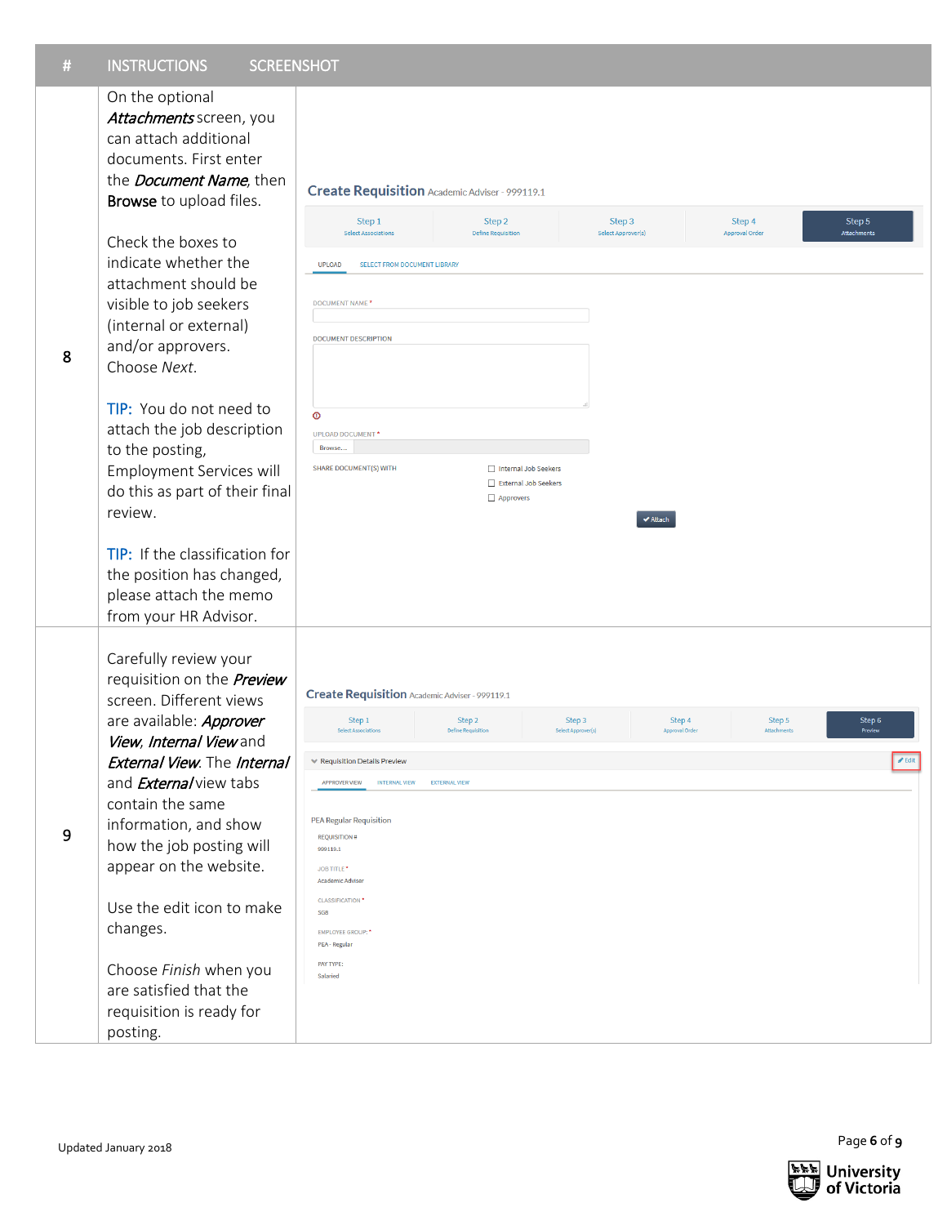| # | <b>INSTRUCTIONS</b><br><b>SCREENSHOT</b>                                                                                                                    |                                                                                                                                                                                          |                                     |                                              |                              |                                 |                       |
|---|-------------------------------------------------------------------------------------------------------------------------------------------------------------|------------------------------------------------------------------------------------------------------------------------------------------------------------------------------------------|-------------------------------------|----------------------------------------------|------------------------------|---------------------------------|-----------------------|
|   | On the optional<br>Attachments screen, you<br>can attach additional<br>documents. First enter<br>the <i>Document Name</i> , then<br>Browse to upload files. | Create Requisition Academic Adviser - 999119.1                                                                                                                                           |                                     |                                              |                              |                                 |                       |
| 8 | Check the boxes to<br>indicate whether the<br>attachment should be<br>visible to job seekers<br>(internal or external)<br>and/or approvers.<br>Choose Next. | Step 1<br><b>Select Associations</b><br><b>UPLOAD</b><br><b>SELECT FROM DOCUMENT LIBRARY</b><br>DOCUMENT NAME <sup>*</sup><br><b>DOCUMENT DESCRIPTION</b>                                | Step 2<br><b>Define Requisition</b> | Step 3<br>Select Approver(s)                 |                              | Step 4<br><b>Approval Order</b> | Step 5<br>Attachments |
|   | TIP: You do not need to<br>attach the job description<br>to the posting,<br>Employment Services will<br>do this as part of their final<br>review.           | $\circ$<br><b>UPLOAD DOCUMENT*</b><br>Browse<br><b>SHARE DOCUMENT(S) WITH</b>                                                                                                            | Approvers                           | Internal Job Seekers<br>External Job Seekers | $\blacktriangleright$ Attach |                                 |                       |
|   | TIP: If the classification for<br>the position has changed,<br>please attach the memo<br>from your HR Advisor.                                              |                                                                                                                                                                                          |                                     |                                              |                              |                                 |                       |
|   | Carefully review your<br>requisition on the <b>Preview</b><br>screen. Different views<br>are available: Approver                                            | <b>Create Requisition Academic Adviser - 999119.1</b><br>Step 1                                                                                                                          | Step 2                              | Step 3                                       | Step 4                       | Step 5                          | Step 6                |
|   | View, Internal View and                                                                                                                                     | <b>Select Associations</b>                                                                                                                                                               | <b>Define Requisition</b>           | Select Approver(s)                           | Approval Order               | Attachments                     | Preview               |
|   | <b>External View. The Internal</b>                                                                                                                          | $\boldsymbol{\mathscr{J}}$ Edit<br>← Requisition Details Preview                                                                                                                         |                                     |                                              |                              |                                 |                       |
|   | and <b>External</b> view tabs                                                                                                                               | <b>APPROVER VIEW</b><br><b>INTERNAL VIEW</b><br><b>EXTERNAL VIEW</b><br><b>PEA Regular Requisition</b><br><b>REQUISITION#</b><br>999119.1<br><b>JOB TITLE</b><br><b>Academic Adviser</b> |                                     |                                              |                              |                                 |                       |
| 9 | contain the same<br>information, and show<br>how the job posting will<br>appear on the website.                                                             |                                                                                                                                                                                          |                                     |                                              |                              |                                 |                       |
|   | Use the edit icon to make<br>changes.                                                                                                                       | <b>CLASSIFICATION</b><br>SG <sub>8</sub><br><b>EMPLOYEE GROUP:</b><br>PEA - Regular                                                                                                      |                                     |                                              |                              |                                 |                       |
|   | Choose Finish when you<br>are satisfied that the<br>requisition is ready for<br>posting.                                                                    | <b>PAY TYPE:</b><br>Salaried                                                                                                                                                             |                                     |                                              |                              |                                 |                       |
|   | Updated January 2018                                                                                                                                        |                                                                                                                                                                                          |                                     |                                              |                              |                                 | Page 6 of 9           |

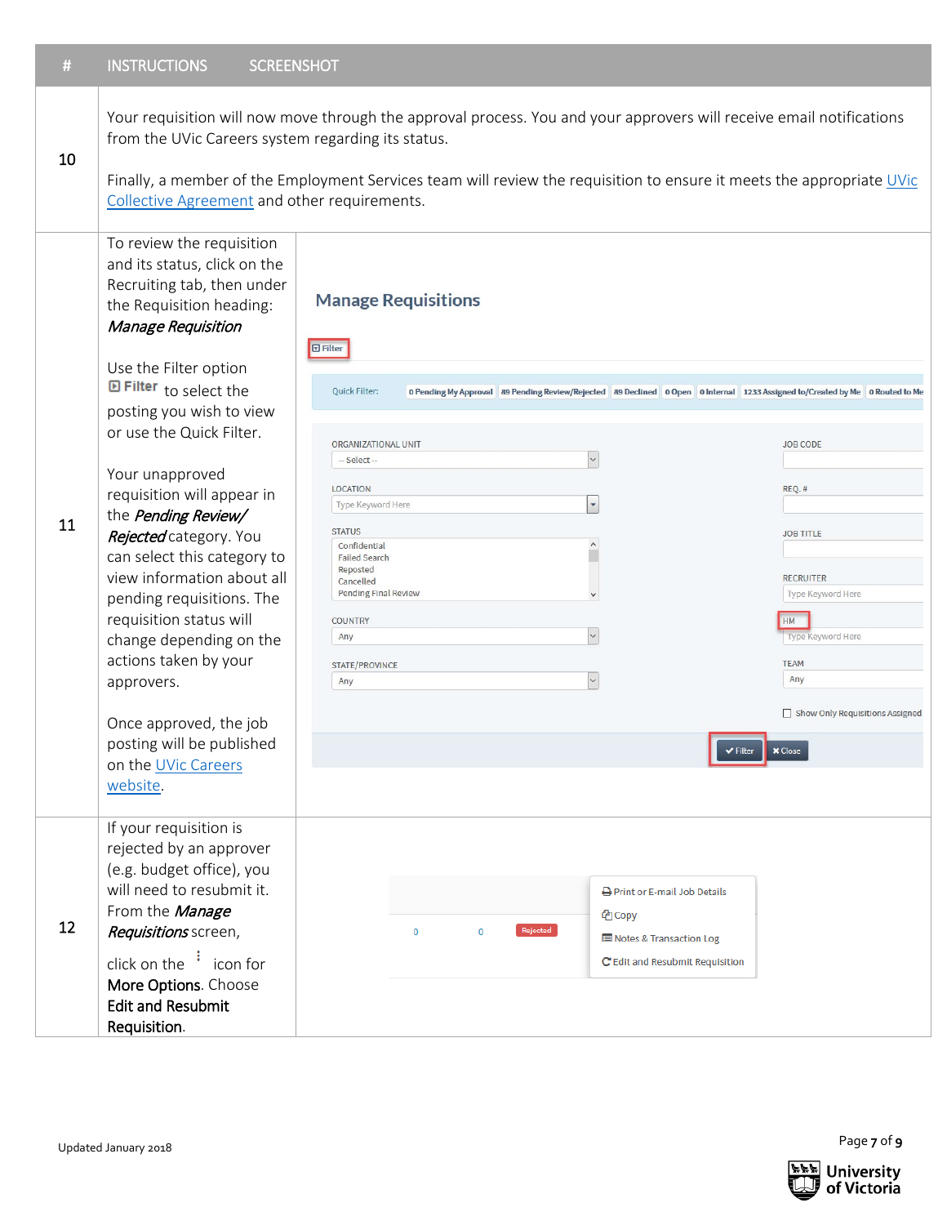Your requisition will now move through the approval process. You and your approvers will receive email notifications from the UVic Careers system regarding its status.

### 10

Finally, a member of the Employment Services team will review the requisition to ensure it meets the appropriate UVic [Collective Agreement](http://www.uvic.ca/hr/services/home/labour-relations/index.php) and other requirements.

**Manage Requisitions** 

# To review the requisition and its status, click on the Recruiting tab, then under the Requisition heading: Manage Requisition

| 11 | Use the Filter option<br><b>E Filter</b> to select the<br>posting you wish to view<br>or use the Quick Filter.<br>Your unapproved<br>requisition will appear in<br>the Pending Review/<br>Rejected category. You<br>can select this category to<br>view information about all<br>pending requisitions. The<br>requisition status will<br>change depending on the<br>actions taken by your<br>approvers.<br>Once approved, the job<br>posting will be published<br>on the UVic Careers<br>website. | <b>D</b> Filter<br><b>Ouick Filter:</b><br>0 Pending My Approval 89 Pending Review/Rejected 89 Declined 0 Open 0 Internal 1233 Assigned to/Created by Me 0 Routed to Me<br>ORGANIZATIONAL UNIT<br>$\backsim$<br>-- Select --<br><b>LOCATION</b><br>$\blacktriangledown$<br>Type Keyword Here | <b>JOB CODE</b><br>REQ.#                                                                                                                                        |
|----|---------------------------------------------------------------------------------------------------------------------------------------------------------------------------------------------------------------------------------------------------------------------------------------------------------------------------------------------------------------------------------------------------------------------------------------------------------------------------------------------------|----------------------------------------------------------------------------------------------------------------------------------------------------------------------------------------------------------------------------------------------------------------------------------------------|-----------------------------------------------------------------------------------------------------------------------------------------------------------------|
|    |                                                                                                                                                                                                                                                                                                                                                                                                                                                                                                   | <b>STATUS</b><br>$\land$<br>Confidential<br><b>Failed Search</b><br>Reposted<br>Cancelled<br><b>Pending Final Review</b><br>$\checkmark$<br><b>COUNTRY</b><br>$\backsim$<br>Any<br><b>STATE/PROVINCE</b><br>$\check{~}$<br>Any<br>← Filter                                                   | <b>JOB TITLE</b><br><b>RECRUITER</b><br>Type Keyword Here<br>HM<br>Type Keyword Here<br><b>TEAM</b><br>Any<br>Show Only Requisitions Assigned<br><b>x</b> Close |
| 12 | If your requisition is<br>rejected by an approver<br>(e.g. budget office), you<br>will need to resubmit it.<br>From the Manage<br>Requisitions screen,<br>click on the $\frac{1}{2}$ icon for<br>More Options. Choose<br><b>Edit and Resubmit</b><br>Requisition.                                                                                                                                                                                                                                 | <b>A</b> Print or E-mail Job Details<br>t <sup>2</sup> Copy<br>Rejected<br>$\bf{0}$<br>$\mathbf 0$<br>Notes & Transaction Log<br>C Edit and Resubmit Requisition                                                                                                                             |                                                                                                                                                                 |

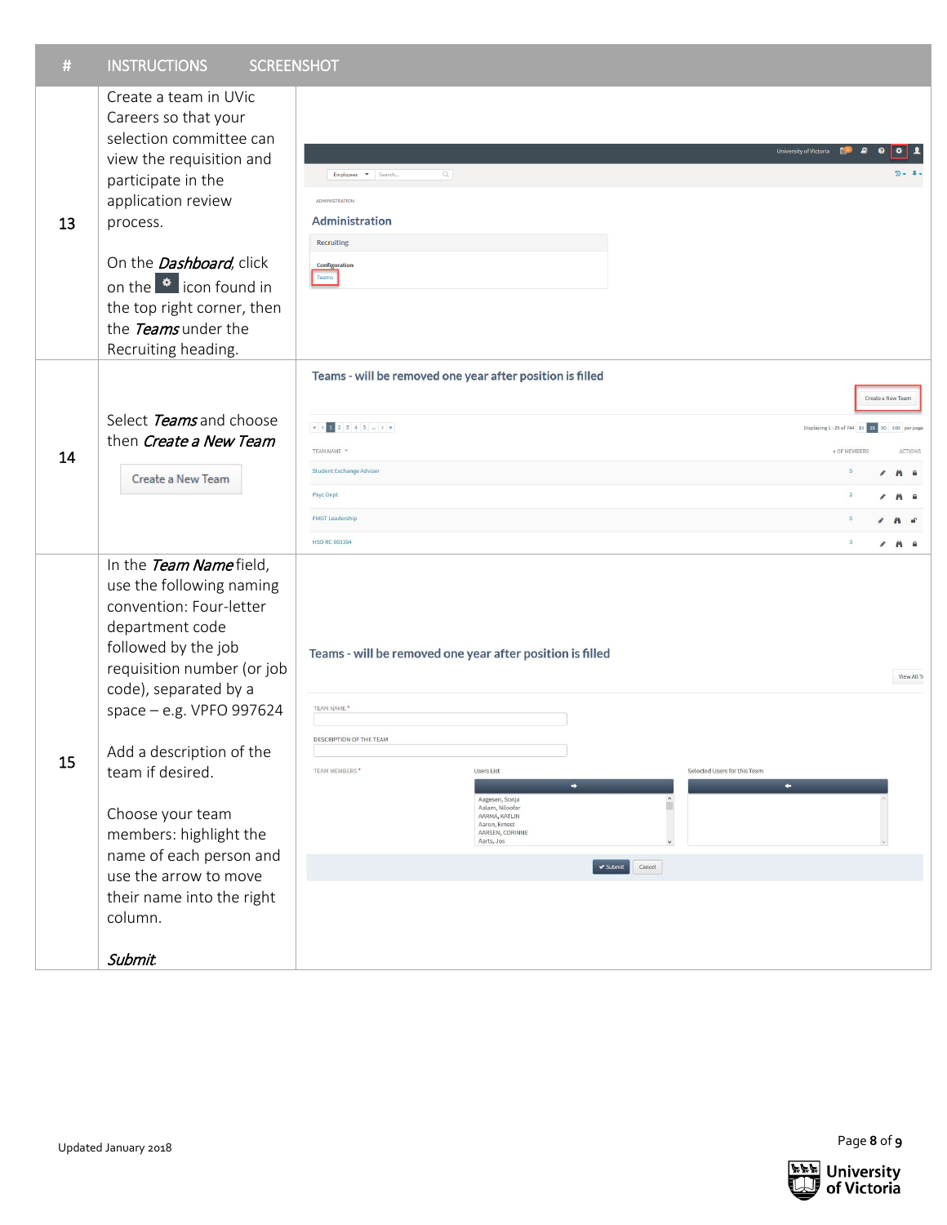| -# | <b>INSTRUCTIONS</b> | <b>SCREENSHOT</b> |
|----|---------------------|-------------------|
|    |                     |                   |

| #  | <b>INSTRUCTIONS</b><br><b>SCREENSHOT</b>                                                                                                                                                                                                                                                                                                                                                                        |                                                                                                                                                                                                                                                                                                                             |                                                                                                                                                                                                                             |
|----|-----------------------------------------------------------------------------------------------------------------------------------------------------------------------------------------------------------------------------------------------------------------------------------------------------------------------------------------------------------------------------------------------------------------|-----------------------------------------------------------------------------------------------------------------------------------------------------------------------------------------------------------------------------------------------------------------------------------------------------------------------------|-----------------------------------------------------------------------------------------------------------------------------------------------------------------------------------------------------------------------------|
| 13 | Create a team in UVic<br>Careers so that your<br>selection committee can<br>view the requisition and<br>participate in the<br>application review<br>process.<br>On the <b>Dashboard</b> , click<br>on the $\bullet$ icon found in<br>the top right corner, then<br>the Teams under the<br>Recruiting heading.                                                                                                   | $Q_{\rm c}$<br>Employees $\bullet$ Search<br><b>ADMINISTRATION</b><br><b>Administration</b><br>Recruiting<br>Configuration<br>Teams                                                                                                                                                                                         | University of Victoria <b>AO</b><br>$\bullet$<br>۰<br>ワー ネー                                                                                                                                                                 |
| 14 | Select Teams and choose<br>then Create a New Team<br>Create a New Team                                                                                                                                                                                                                                                                                                                                          | Teams - will be removed one year after position is filled<br>TEAM NAME Y<br><b>Student Exchange Adviser</b><br><b>Psyc Dept</b><br><b>FMGT Leadership</b><br><b>HSD RC 993394</b>                                                                                                                                           | Create a New Team<br>Displaying 1 - 25 of 744 10 25 50 100 per page<br># OF MEMBERS<br><b>ACTIONS</b><br>$\mathbf{5}$<br>$\angle$ A a<br>$\overline{2}$<br>A A<br>5<br>$\lambda$<br>$\overline{\mathbf{3}}$<br>$\angle$ A a |
| 15 | In the Team Namefield,<br>use the following naming<br>convention: Four-letter<br>department code<br>followed by the job<br>requisition number (or job<br>code), separated by a<br>space - e.g. VPFO 997624<br>Add a description of the<br>team if desired.<br>Choose your team<br>members: highlight the<br>name of each person and<br>use the arrow to move<br>their name into the right<br>column.<br>Submit. | Teams - will be removed one year after position is filled<br>TEAM NAME *<br>DESCRIPTION OF THE TEAM<br>TEAM MEMBERS*<br>Selected Users for this Team<br><b>Users List</b><br>Aagesen, Sonja<br>Aalam, Niloofar<br>AARMA, KATLIN<br>Aaron, Ernest<br>AARSEN, CORINNE<br>Aarts, Jos<br>$\blacktriangleright$ Submit<br>Cancel | View All To                                                                                                                                                                                                                 |
|    | Updated January 2018                                                                                                                                                                                                                                                                                                                                                                                            |                                                                                                                                                                                                                                                                                                                             | Page 8 of 9                                                                                                                                                                                                                 |